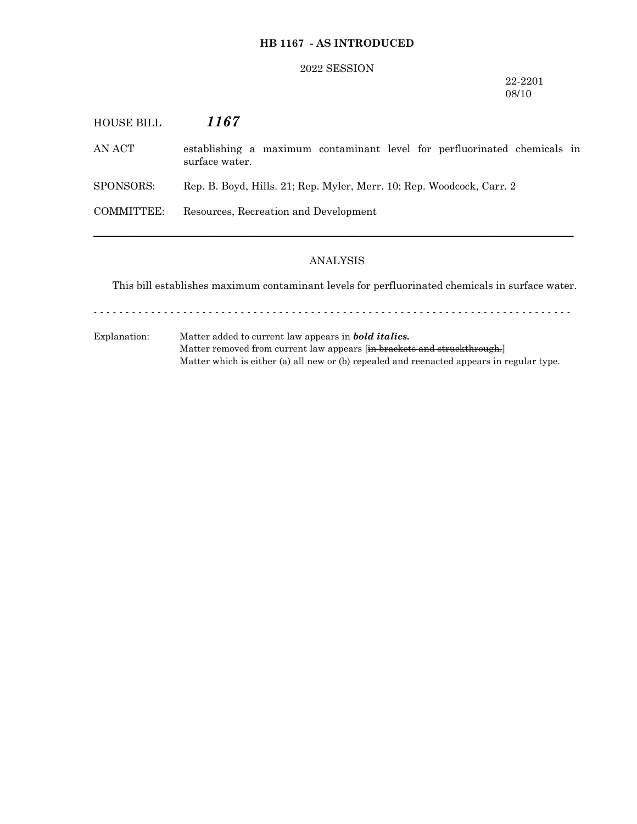# **HB 1167 - AS INTRODUCED**

#### 2022 SESSION

## 22-2201 08/10

| <b>HOUSE BILL</b> | 1167                                                                                       |
|-------------------|--------------------------------------------------------------------------------------------|
| AN ACT            | establishing a maximum contaminant level for perfluorinated chemicals in<br>surface water. |
| SPONSORS:         | Rep. B. Boyd, Hills. 21; Rep. Myler, Merr. 10; Rep. Woodcock, Carr. 2                      |
| COMMITTEE:        | Resources, Recreation and Development                                                      |
|                   |                                                                                            |

# ANALYSIS

This bill establishes maximum contaminant levels for perfluorinated chemicals in surface water.

- - - - - - - - - - - - - - - - - - - - - - - - - - - - - - - - - - - - - - - - - - - - - - - - - - - - - - - - - - - - - - - - - - - - - - - - - - -

Explanation: Matter added to current law appears in *bold italics.* Matter removed from current law appears [in brackets and struckthrough.] Matter which is either (a) all new or (b) repealed and reenacted appears in regular type.